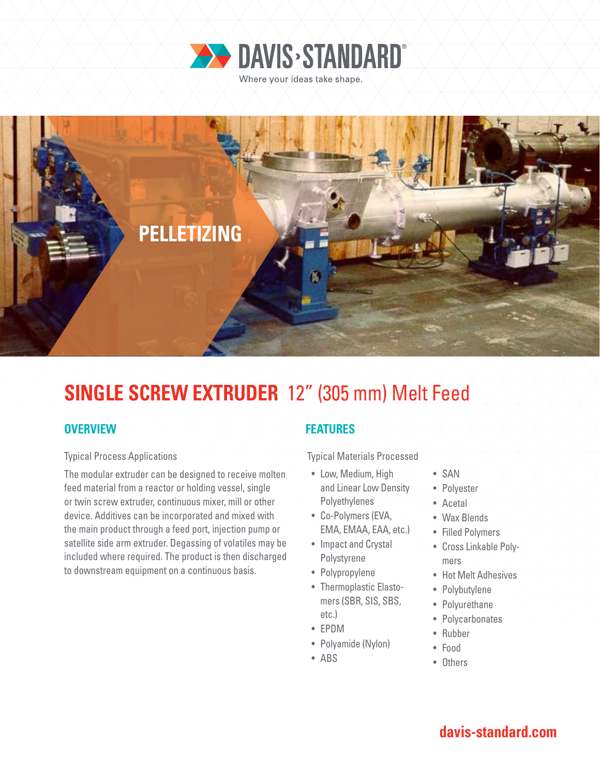



# **SINGLE SCREW EXTRUDER** 12" (305 mm) Melt Feed

### **OVERVIEW**

#### Typical Process Applications

The modular extruder can be designed to receive molten feed material from a reactor or holding vessel, single or twin screw extruder, continuous mixer, mill or other device. Additives can be incorporated and mixed with the main product through a feed port, injection pump or satellite side arm extruder. Degassing of volatiles may be included where required. The product is then discharged to downstream equipment on a continuous basis.

### **FEATURES**

Typical Materials Processed

- Low, Medium, High and Linear Low Density Polyethylenes
- Co-Polymers (EVA, EMA, EMAA, EAA, etc.)
- Impact and Crystal
- Polystyrene • Polypropylene
- Thermoplastic Elastomers (SBR, SIS, SBS, etc.)
- EPDM
- Polyamide (Nylon)
- ABS
- SAN
- Polyester
- Acetal
- Wax Blends
- Filled Polymers
- Cross Linkable Polymers
- Hot Melt Adhesives
- Polybutylene
- Polyurethane
- Polycarbonates
- Rubber
- Food
- Others

## **davis-standard.com**